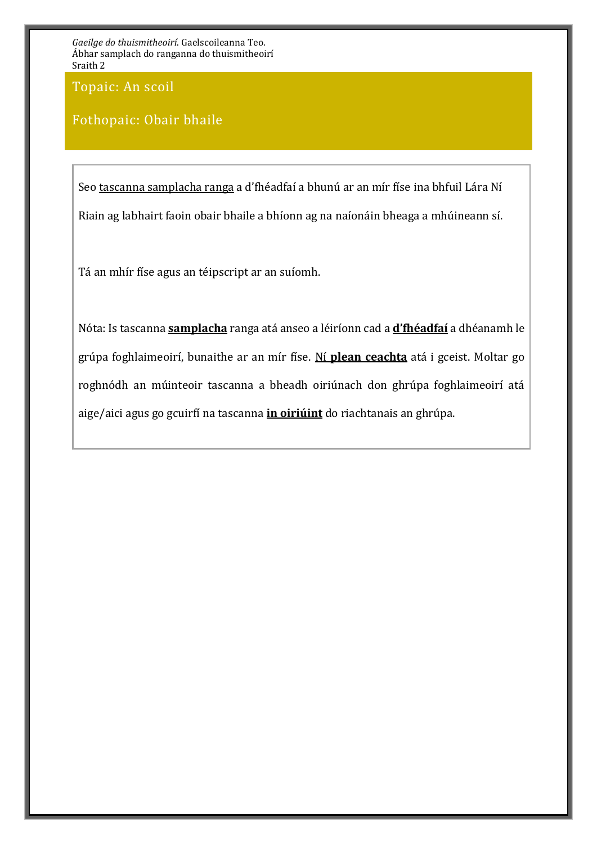Topaic: An scoil

## Fothopaic: Obair bhaile

Seo tascanna samplacha ranga a d'fhéadfaí a bhunú ar an mír físe ina bhfuil Lára Ní Riain ag labhairt faoin obair bhaile a bhíonn ag na naíonáin bheaga a mhúineann sí.

Tá an mhír físe agus an téipscript ar an suíomh.

Nóta: Is tascanna **samplacha** ranga atá anseo a léiríonn cad a **d'fhéadfaí** a dhéanamh le grúpa foghlaimeoirí, bunaithe ar an mír físe. Ní **plean ceachta** atá i gceist. Moltar go roghnódh an múinteoir tascanna a bheadh oiriúnach don ghrúpa foghlaimeoirí atá aige/aici agus go gcuirfí na tascanna **in oiriúint** do riachtanais an ghrúpa.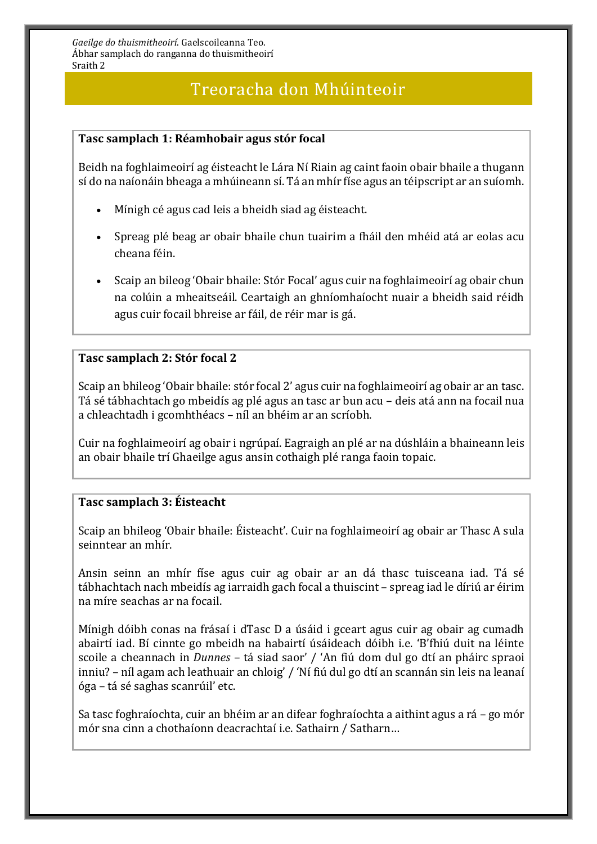## Treoracha don Mhúinteoir

### **Tasc samplach 1: Réamhobair agus stór focal**

Beidh na foghlaimeoirí ag éisteacht le Lára Ní Riain ag caint faoin obair bhaile a thugann sí do na naíonáin bheaga a mhúineann sí. Tá an mhír físe agus an téipscript ar an suíomh.

- Mínigh cé agus cad leis a bheidh siad ag éisteacht.
- Spreag plé beag ar obair bhaile chun tuairim a fháil den mhéid atá ar eolas acu cheana féin.
- Scaip an bileog 'Obair bhaile: Stór Focal' agus cuir na foghlaimeoirí ag obair chun na colúin a mheaitseáil. Ceartaigh an ghníomhaíocht nuair a bheidh said réidh agus cuir focail bhreise ar fáil, de réir mar is gá.

### **Tasc samplach 2: Stór focal 2**

Scaip an bhileog 'Obair bhaile: stór focal 2' agus cuir na foghlaimeoirí ag obair ar an tasc. Tá sé tábhachtach go mbeidís ag plé agus an tasc ar bun acu – deis atá ann na focail nua a chleachtadh i gcomhthéacs – níl an bhéim ar an scríobh.

Cuir na foghlaimeoirí ag obair i ngrúpaí. Eagraigh an plé ar na dúshláin a bhaineann leis an obair bhaile trí Ghaeilge agus ansin cothaigh plé ranga faoin topaic.

### **Tasc samplach 3: Éisteacht**

Scaip an bhileog 'Obair bhaile: Éisteacht'. Cuir na foghlaimeoirí ag obair ar Thasc A sula seinntear an mhír.

Ansin seinn an mhír físe agus cuir ag obair ar an dá thasc tuisceana iad. Tá sé tábhachtach nach mbeidís ag iarraidh gach focal a thuiscint – spreag iad le díriú ar éirim na míre seachas ar na focail.

Mínigh dóibh conas na frásaí i dTasc D a úsáid i gceart agus cuir ag obair ag cumadh abairtí iad. Bí cinnte go mbeidh na habairtí úsáideach dóibh i.e. 'B'fhiú duit na léinte scoile a cheannach in *Dunnes* – tá siad saor' / 'An fiú dom dul go dtí an pháirc spraoi inniu? – níl agam ach leathuair an chloig' / 'Ní fiú dul go dtí an scannán sin leis na leanaí óga – tá sé saghas scanrúil' etc.

Sa tasc foghraíochta, cuir an bhéim ar an difear foghraíochta a aithint agus a rá – go mór mór sna cinn a chothaíonn deacrachtaí i.e. Sathairn / Satharn…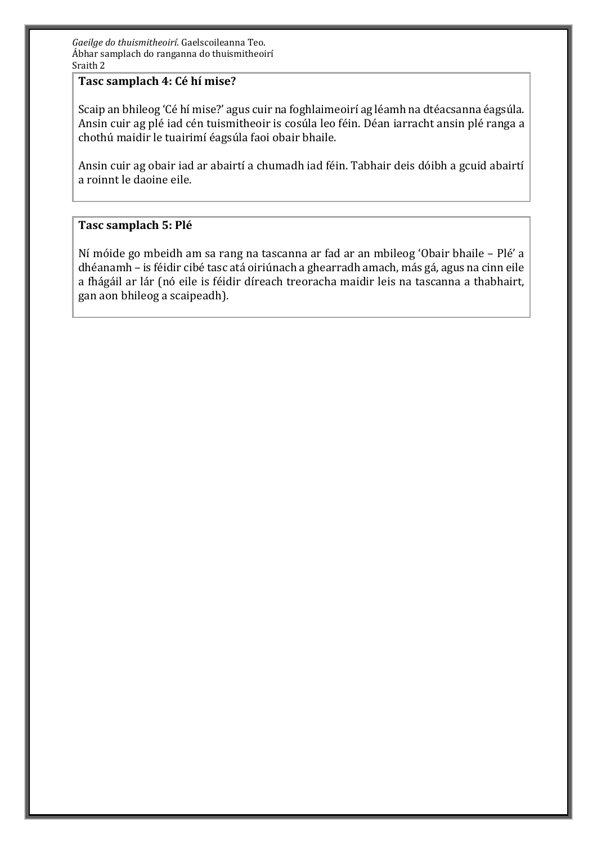### **Tasc samplach 4: Cé hí mise?**

Scaip an bhileog 'Cé hí mise?' agus cuir na foghlaimeoirí ag léamh na dtéacsanna éagsúla. Ansin cuir ag plé iad cén tuismitheoir is cosúla leo féin. Déan iarracht ansin plé ranga a chothú maidir le tuairimí éagsúla faoi obair bhaile.

Ansin cuir ag obair iad ar abairtí a chumadh iad féin. Tabhair deis dóibh a gcuid abairtí a roinnt le daoine eile.

### **Tasc samplach 5: Plé**

Ní móide go mbeidh am sa rang na tascanna ar fad ar an mbileog 'Obair bhaile – Plé' a dhéanamh – is féidir cibé tasc atá oiriúnach a ghearradh amach, más gá, agus na cinn eile a fhágáil ar lár (nó eile is féidir díreach treoracha maidir leis na tascanna a thabhairt, gan aon bhileog a scaipeadh).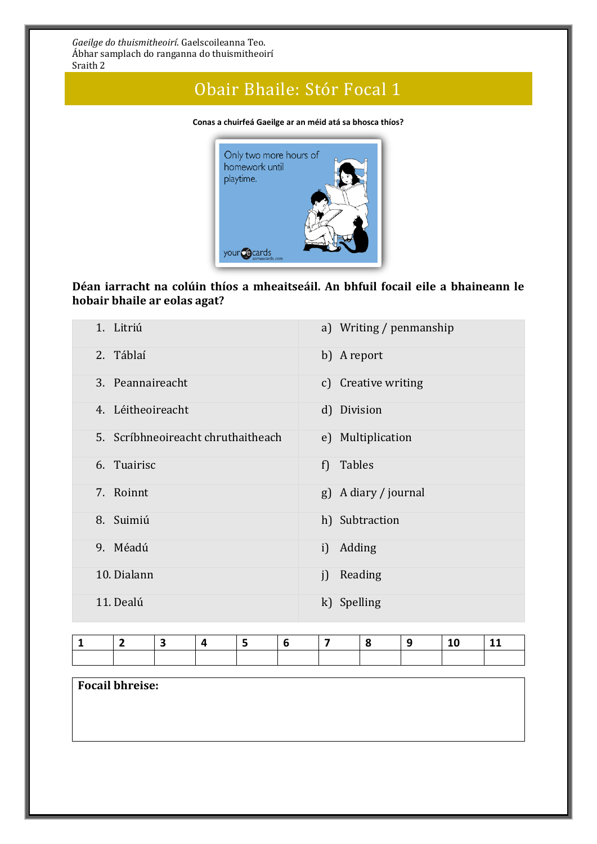# Obair Bhaile: Stór Focal 1

**Conas a chuirfeá Gaeilge ar an méid atá sa bhosca thíos?**



## **Déan iarracht na colúin thíos a mheaitseáil. An bhfuil focail eile a bhaineann le hobair bhaile ar eolas agat?**

| 1. Litriú                          | a) Writing / penmanship |
|------------------------------------|-------------------------|
| 2. Táblaí                          | b) A report             |
| 3. Peannaireacht                   | c) Creative writing     |
| 4. Léitheoireacht                  | d) Division             |
| 5. Scríbhneoireacht chruthaitheach | e) Multiplication       |
| 6. Tuairisc                        | f) Tables               |
| 7. Roinnt                          | g) A diary / journal    |
| 8. Suimiú                          | h) Subtraction          |
| 9. Méadú                           | i) Adding               |
| 10. Dialann                        | Reading<br>i            |
| 11. Dealú                          | k) Spelling             |

|  |  |  | $\sim$ 17 $\sim$ | <u> 19</u> | $\blacksquare$ 10 | 111 |
|--|--|--|------------------|------------|-------------------|-----|
|  |  |  |                  |            |                   |     |

**Focail bhreise:**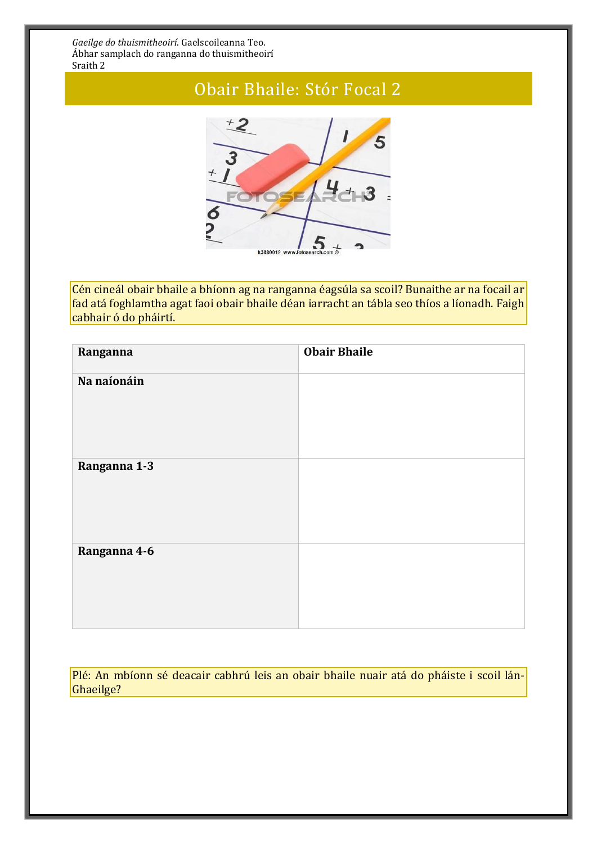# Obair Bhaile: Stór Focal 2



Cén cineál obair bhaile a bhíonn ag na ranganna éagsúla sa scoil? Bunaithe ar na focail ar fad atá foghlamtha agat faoi obair bhaile déan iarracht an tábla seo thíos a líonadh. Faigh cabhair ó do pháirtí.

| Ranganna     | <b>Obair Bhaile</b> |
|--------------|---------------------|
| Na naíonáin  |                     |
| Ranganna 1-3 |                     |
| Ranganna 4-6 |                     |

Plé: An mbíonn sé deacair cabhrú leis an obair bhaile nuair atá do pháiste i scoil lán-Ghaeilge?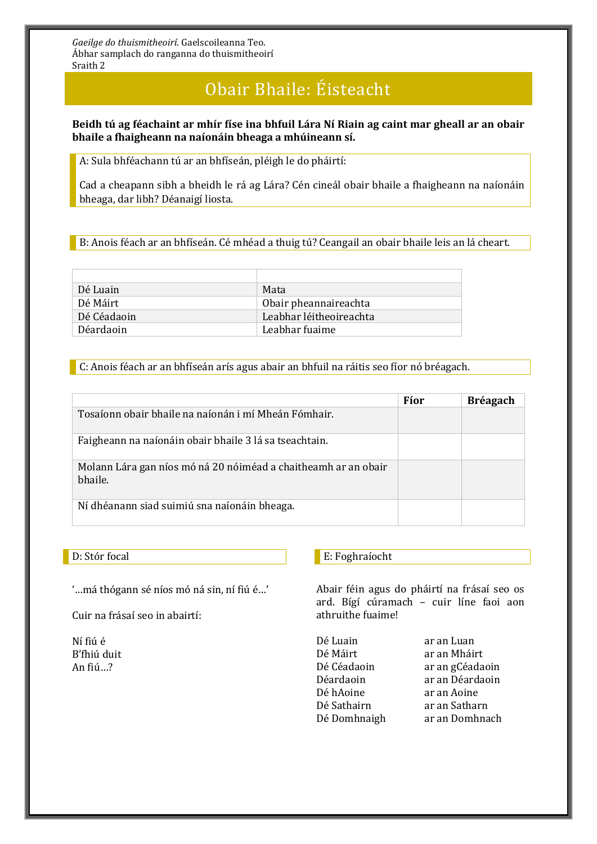# Obair Bhaile: Éisteacht

### **Beidh tú ag féachaint ar mhír físe ina bhfuil Lára Ní Riain ag caint mar gheall ar an obair bhaile a fhaigheann na naíonáin bheaga a mhúineann sí.**

A: Sula bhféachann tú ar an bhfíseán, pléigh le do pháirtí:

Cad a cheapann sibh a bheidh le rá ag Lára? Cén cineál obair bhaile a fhaigheann na naíonáin bheaga, dar libh? Déanaigí liosta.

B: Anois féach ar an bhfíseán. Cé mhéad a thuig tú? Ceangail an obair bhaile leis an lá cheart.

| Dé Luain    | Mata                    |
|-------------|-------------------------|
| Dé Máirt    | Obair pheannaireachta   |
| Dé Céadaoin | Leabhar léitheoireachta |
| Déardaoin   | Leabhar fuaime          |
|             |                         |

C: Anois féach ar an bhfíseán arís agus abair an bhfuil na ráitis seo fíor nó bréagach.

|                                                                           | Fíor | <b>Bréagach</b> |
|---------------------------------------------------------------------------|------|-----------------|
| Tosaíonn obair bhaile na naíonán i mí Mheán Fómhair.                      |      |                 |
| Faigheann na naíonáin obair bhaile 3 lá sa tseachtain.                    |      |                 |
| Molann Lára gan níos mó ná 20 nóiméad a chaitheamh ar an obair<br>bhaile. |      |                 |
| Ní dhéanann siad suimiú sna naíonáin bheaga.                              |      |                 |

#### D: Stór focal

'…má thógann sé níos mó ná sin, ní fiú é…'

Cuir na frásaí seo in abairtí:

Ní fiú é B'fhiú duit An fiú…?

### E: Foghraíocht

Abair féin agus do pháirtí na frásaí seo os ard. Bígí cúramach – cuir líne faoi aon athruithe fuaime!

Dé Luain ar an Luan Dé Máirt ar an Mháirt Dé Céadaoin ar an gCéadaoin Déardaoin ar an Déardaoin Dé hAoine ar an Aoine Dé Sathairn ar an Satharn Dé Domhnaigh ar an Domhnach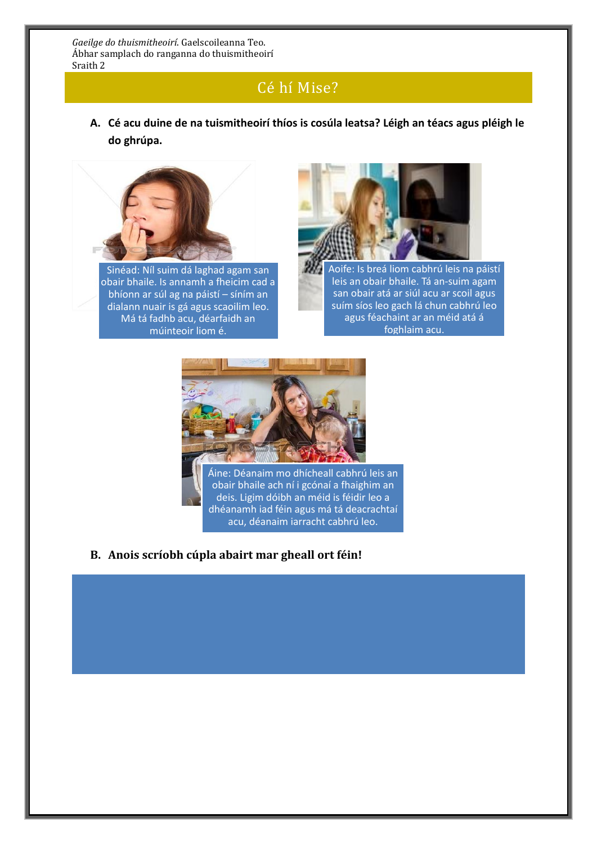## Cé hí Mise?

**A. Cé acu duine de na tuismitheoirí thíos is cosúla leatsa? Léigh an téacs agus pléigh le do ghrúpa.** 



Sinéad: Níl suim dá laghad agam san obair bhaile. Is annamh a fheicim cad a bhíonn ar súl ag na páistí – síním an dialann nuair is gá agus scaoilim leo. Má tá fadhb acu, déarfaidh an múinteoir liom é.



Aoife: Is breá liom cabhrú leis na páistí leis an obair bhaile. Tá an-suim agam san obair atá ar siúl acu ar scoil agus suím síos leo gach lá chun cabhrú leo agus féachaint ar an méid atá á foghlaim acu.



obair bhaile ach ní i gcónaí a fhaighim an deis. Ligim dóibh an méid is féidir leo a dhéanamh iad féin agus má tá deacrachtaí acu, déanaim iarracht cabhrú leo.

**B. Anois scríobh cúpla abairt mar gheall ort féin!**